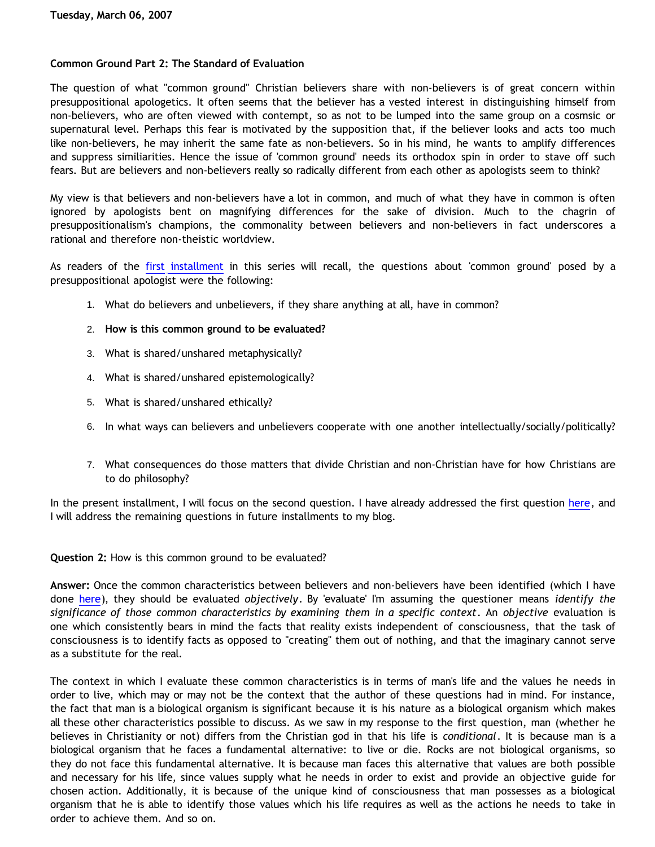## **Common Ground Part 2: The Standard of Evaluation**

The question of what "common ground" Christian believers share with non-believers is of great concern within presuppositional apologetics. It often seems that the believer has a vested interest in distinguishing himself from non-believers, who are often viewed with contempt, so as not to be lumped into the same group on a cosmsic or supernatural level. Perhaps this fear is motivated by the supposition that, if the believer looks and acts too much like non-believers, he may inherit the same fate as non-believers. So in his mind, he wants to amplify differences and suppress similiarities. Hence the issue of 'common ground' needs its orthodox spin in order to stave off such fears. But are believers and non-believers really so radically different from each other as apologists seem to think?

My view is that believers and non-believers have a lot in common, and much of what they have in common is often ignored by apologists bent on magnifying differences for the sake of division. Much to the chagrin of presuppositionalism's champions, the commonality between believers and non-believers in fact underscores a rational and therefore non-theistic worldview.

As readers of the [first installment](http://bahnsenburner.blogspot.com/2007/01/common-ground.html) in this series will recall, the questions about 'common ground' posed by a presuppositional apologist were the following:

- 1. What do believers and unbelievers, if they share anything at all, have in common?
- 2. **How is this common ground to be evaluated?**
- 3. What is shared/unshared metaphysically?
- 4. What is shared/unshared epistemologically?
- 5. What is shared/unshared ethically?
- 6. In what ways can believers and unbelievers cooperate with one another intellectually/socially/politically?
- 7. What consequences do those matters that divide Christian and non-Christian have for how Christians are to do philosophy?

In the present installment, I will focus on the second question. I have already addressed the first question [here](http://bahnsenburner.blogspot.com/2007/01/common-ground.html), and I will address the remaining questions in future installments to my blog.

**Question 2:** How is this common ground to be evaluated?

**Answer:** Once the common characteristics between believers and non-believers have been identified (which I have done [here\)](http://bahnsenburner.blogspot.com/2007/01/common-ground.html), they should be evaluated *objectively*. By 'evaluate' I'm assuming the questioner means *identify the significance of those common characteristics by examining them in a specific context*. An *objective* evaluation is one which consistently bears in mind the facts that reality exists independent of consciousness, that the task of consciousness is to identify facts as opposed to "creating" them out of nothing, and that the imaginary cannot serve as a substitute for the real.

The context in which I evaluate these common characteristics is in terms of man's life and the values he needs in order to live, which may or may not be the context that the author of these questions had in mind. For instance, the fact that man is a biological organism is significant because it is his nature as a biological organism which makes all these other characteristics possible to discuss. As we saw in my response to the first question, man (whether he believes in Christianity or not) differs from the Christian god in that his life is *conditional*. It is because man is a biological organism that he faces a fundamental alternative: to live or die. Rocks are not biological organisms, so they do not face this fundamental alternative. It is because man faces this alternative that values are both possible and necessary for his life, since values supply what he needs in order to exist and provide an objective guide for chosen action. Additionally, it is because of the unique kind of consciousness that man possesses as a biological organism that he is able to identify those values which his life requires as well as the actions he needs to take in order to achieve them. And so on.